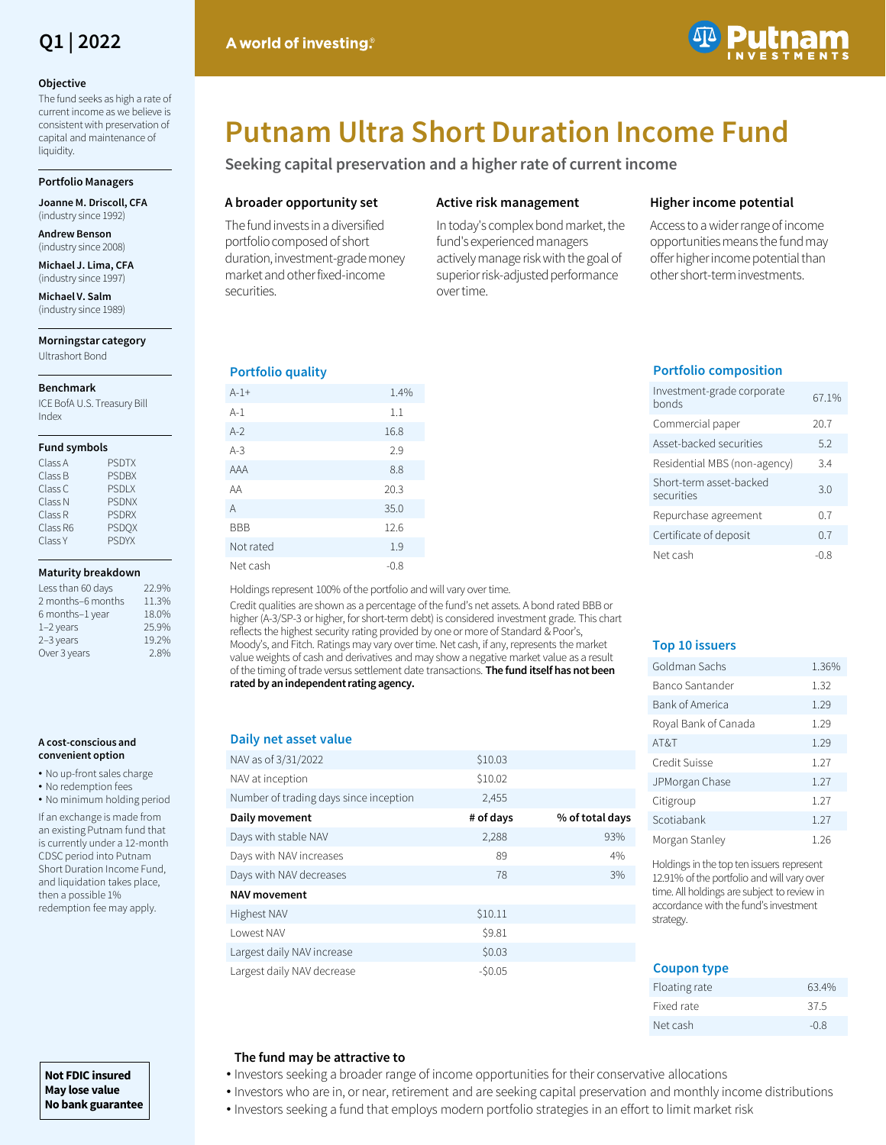# **Q1 | 2022**

#### **Objective**

The fund seeks as high a rate of current income as we believe is consistent with preservation of capital and maintenance of liquidity.

#### **Portfolio Managers**

**Joanne M. Driscoll, CFA**  (industry since 1992)

**Andrew Benson**  (industry since 2008)

**Michael J. Lima, CFA**  (industry since 1997)

**Michael V. Salm**  (industry since 1989)

#### **Morningstar category** Ultrashort Bond

#### **Benchmark**

ICE BofA U.S. Treasury Bill Index

#### **Fund symbols**

| Class A  | <b>PSDTX</b> |
|----------|--------------|
| Class B  | <b>PSDBX</b> |
| Class C  | <b>PSDLX</b> |
| Class N  | <b>PSDNX</b> |
| Class R  | <b>PSDRX</b> |
| Class R6 | <b>PSDOX</b> |
| Class Y  | <b>PSDYX</b> |

#### **Maturity breakdown**

| Less than 60 days | 22 9% |
|-------------------|-------|
| 2 months-6 months | 11.3% |
| 6 months-1 year   | 18.0% |
| $1-2$ years       | 25.9% |
| 2-3 years         | 19.2% |
| Over 3 years      | 2.8%  |

#### **A cost-conscious and convenient option**

- No up-front sales charge
- No redemption fees

• No minimum holding period

If an exchange is made from an existing Putnam fund that is currently under a 12-month CDSC period into Putnam Short Duration Income Fund, and liquidation takes place, then a possible 1% redemption fee may apply.

# **Putnam Ultra Short Duration Income Fund**

**Seeking capital preservation and a higher rate of current income**

# **A broader opportunity set**

The fund invests in a diversified portfolio composed of short duration, investment-grade money market and other fixed-income securities.

# **Active risk management**

In today's complex bond market, the fund's experienced managers actively manage risk with the goal of superior risk-adjusted performance over time.

# **Higher income potential**

Access to a wider range of income opportunities means the fund may offer higher income potential than other short-term investments.

# **Portfolio quality**

| $A - 1 +$  | 1.4%   |
|------------|--------|
| $A-1$      | 1.1    |
| $A-2$      | 16.8   |
| $A-3$      | 2.9    |
| AAA        | 8.8    |
| AA         | 20.3   |
| A          | 35.0   |
| <b>BBB</b> | 12.6   |
| Not rated  | 1.9    |
| Net cash   | $-0.8$ |

Holdings represent 100% of the portfolio and will vary over time.

Credit qualities are shown as a percentage of the fund's net assets. A bond rated BBB or higher (A-3/SP-3 or higher, for short-term debt) is considered investment grade. This chart reflects the highest security rating provided by one or more of Standard & Poor's, Moody's, and Fitch. Ratings may vary over time. Net cash, if any, represents the market value weights of cash and derivatives and may show a negative market value as a result of the timing of trade versus settlement date transactions. **The fund itself has not been rated by an independent rating agency.**

### **Daily net asset value**

| DAILY TICL ASSEL VALUE                 |           |                 |
|----------------------------------------|-----------|-----------------|
| NAV as of 3/31/2022                    | \$10.03   |                 |
| NAV at inception                       | \$10.02   |                 |
| Number of trading days since inception | 2,455     |                 |
| Daily movement                         | # of days | % of total days |
| Days with stable NAV                   | 2,288     | 93%             |
| Days with NAV increases                | 89        | 4%              |
| Days with NAV decreases                | 78        | 3%              |
| <b>NAV movement</b>                    |           |                 |
| Highest NAV                            | \$10.11   |                 |
| Lowest NAV                             | \$9.81    |                 |
| Largest daily NAV increase             | \$0.03    |                 |
| Largest daily NAV decrease             | $-50.05$  |                 |

# **Portfolio composition**

| Investment-grade corporate<br>honds   | 67.1% |
|---------------------------------------|-------|
| Commercial paper                      | 20.7  |
| Asset-backed securities               | 5.2   |
| Residential MBS (non-agency)          | 3.4   |
| Short-term asset-backed<br>securities | 30    |
| Repurchase agreement                  | 07    |
| Certificate of deposit                | 0.7   |
| Net cash                              | -0.8  |

# **Top 10 issuers**

| Goldman Sachs        | 1.36% |
|----------------------|-------|
| Banco Santander      | 1.32  |
| Bank of America      | 1.29  |
| Royal Bank of Canada | 1.29  |
| AT&T                 | 1.29  |
| Credit Suisse        | 1.27  |
| JPMorgan Chase       | 1.27  |
| Citigroup            | 1.27  |
| Scotiabank           | 1.27  |
| Morgan Stanley       | 1.26  |

Holdings in the top ten issuers represent 12.91% of the portfolio and will vary over time. All holdings are subject to review in accordance with the fund's investment strategy.

# **Coupon type** Floating rate 63.4% Fixed rate 37.5 Net cash -0.8

# **The fund may be attractive to**

- Investors seeking a broader range of income opportunities for their conservative allocations
- Investors who are in, or near, retirement and are seeking capital preservation and monthly income distributions
	- Investors seeking a fund that employs modern portfolio strategies in an effort to limit market risk

**Not FDIC insured May lose value No bank guarantee**